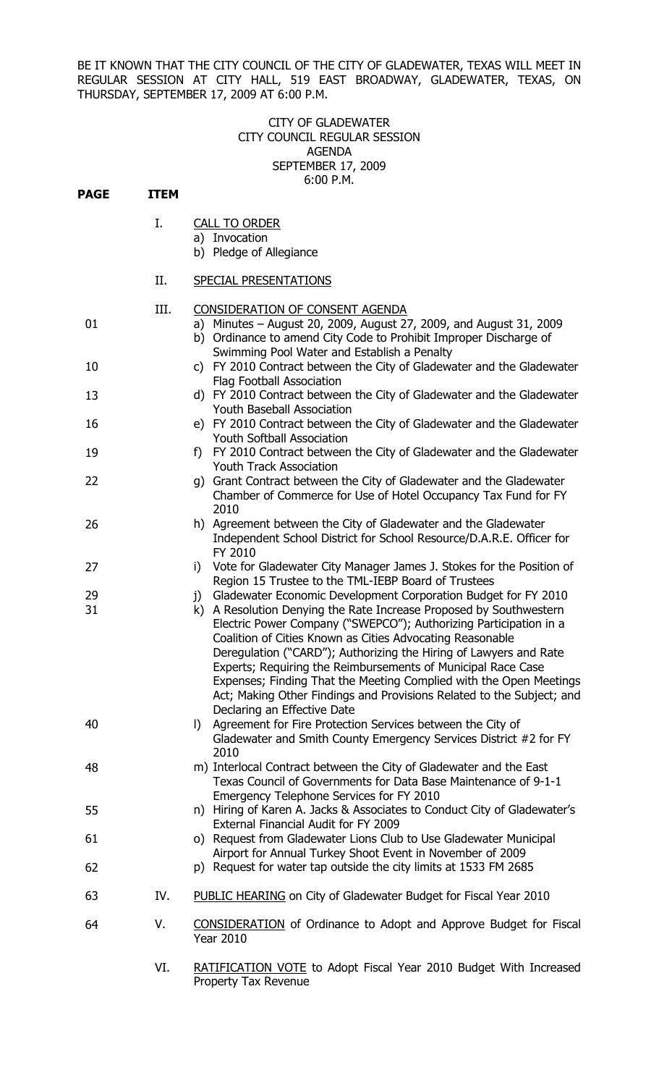BE IT KNOWN THAT THE CITY COUNCIL OF THE CITY OF GLADEWATER, TEXAS WILL MEET IN REGULAR SESSION AT CITY HALL, 519 EAST BROADWAY, GLADEWATER, TEXAS, ON THURSDAY, SEPTEMBER 17, 2009 AT 6:00 P.M.

## CITY OF GLADEWATER CITY COUNCIL REGULAR SESSION AGENDA SEPTEMBER 17, 2009 6:00 P.M.

| <b>PAGE</b> | <b>ITEM</b> |                                                                                                                                                                                                                                                                              |
|-------------|-------------|------------------------------------------------------------------------------------------------------------------------------------------------------------------------------------------------------------------------------------------------------------------------------|
|             | Ι.          |                                                                                                                                                                                                                                                                              |
|             |             | <b>CALL TO ORDER</b><br>a) Invocation                                                                                                                                                                                                                                        |
|             |             | b) Pledge of Allegiance                                                                                                                                                                                                                                                      |
|             |             |                                                                                                                                                                                                                                                                              |
|             | II.         | <b>SPECIAL PRESENTATIONS</b>                                                                                                                                                                                                                                                 |
|             | III.        | CONSIDERATION OF CONSENT AGENDA                                                                                                                                                                                                                                              |
| 01          |             | a) Minutes - August 20, 2009, August 27, 2009, and August 31, 2009<br>b) Ordinance to amend City Code to Prohibit Improper Discharge of<br>Swimming Pool Water and Establish a Penalty                                                                                       |
| 10          |             | c) FY 2010 Contract between the City of Gladewater and the Gladewater<br>Flag Football Association                                                                                                                                                                           |
| 13          |             | d) FY 2010 Contract between the City of Gladewater and the Gladewater<br><b>Youth Baseball Association</b>                                                                                                                                                                   |
| 16          |             | e) FY 2010 Contract between the City of Gladewater and the Gladewater<br><b>Youth Softball Association</b>                                                                                                                                                                   |
| 19          |             | FY 2010 Contract between the City of Gladewater and the Gladewater<br>f)<br><b>Youth Track Association</b>                                                                                                                                                                   |
| 22          |             | g) Grant Contract between the City of Gladewater and the Gladewater<br>Chamber of Commerce for Use of Hotel Occupancy Tax Fund for FY<br>2010                                                                                                                                |
| 26          |             | h) Agreement between the City of Gladewater and the Gladewater<br>Independent School District for School Resource/D.A.R.E. Officer for<br>FY 2010                                                                                                                            |
| 27          |             | Vote for Gladewater City Manager James J. Stokes for the Position of<br>i)<br>Region 15 Trustee to the TML-IEBP Board of Trustees                                                                                                                                            |
| 29          |             | Gladewater Economic Development Corporation Budget for FY 2010<br>$\mathbf{i}$                                                                                                                                                                                               |
| 31          |             | A Resolution Denying the Rate Increase Proposed by Southwestern<br>k)<br>Electric Power Company ("SWEPCO"); Authorizing Participation in a<br>Coalition of Cities Known as Cities Advocating Reasonable<br>Deregulation ("CARD"); Authorizing the Hiring of Lawyers and Rate |
|             |             | Experts; Requiring the Reimbursements of Municipal Race Case<br>Expenses; Finding That the Meeting Complied with the Open Meetings<br>Act; Making Other Findings and Provisions Related to the Subject; and<br>Declaring an Effective Date                                   |
| 40          |             | Agreement for Fire Protection Services between the City of<br>$\vert$<br>Gladewater and Smith County Emergency Services District #2 for FY<br>2010                                                                                                                           |
| 48          |             | m) Interlocal Contract between the City of Gladewater and the East<br>Texas Council of Governments for Data Base Maintenance of 9-1-1<br>Emergency Telephone Services for FY 2010                                                                                            |
| 55          |             | n) Hiring of Karen A. Jacks & Associates to Conduct City of Gladewater's<br>External Financial Audit for FY 2009                                                                                                                                                             |
| 61          |             | o) Request from Gladewater Lions Club to Use Gladewater Municipal<br>Airport for Annual Turkey Shoot Event in November of 2009                                                                                                                                               |
| 62          |             | p) Request for water tap outside the city limits at 1533 FM 2685                                                                                                                                                                                                             |
| 63          | IV.         | PUBLIC HEARING on City of Gladewater Budget for Fiscal Year 2010                                                                                                                                                                                                             |
| 64          | V.          | <b>CONSIDERATION</b> of Ordinance to Adopt and Approve Budget for Fiscal<br><b>Year 2010</b>                                                                                                                                                                                 |
|             | VI.         | RATIFICATION VOTE to Adopt Fiscal Year 2010 Budget With Increased<br><b>Droporty Tay Dovenue</b>                                                                                                                                                                             |

Property Tax Revenue